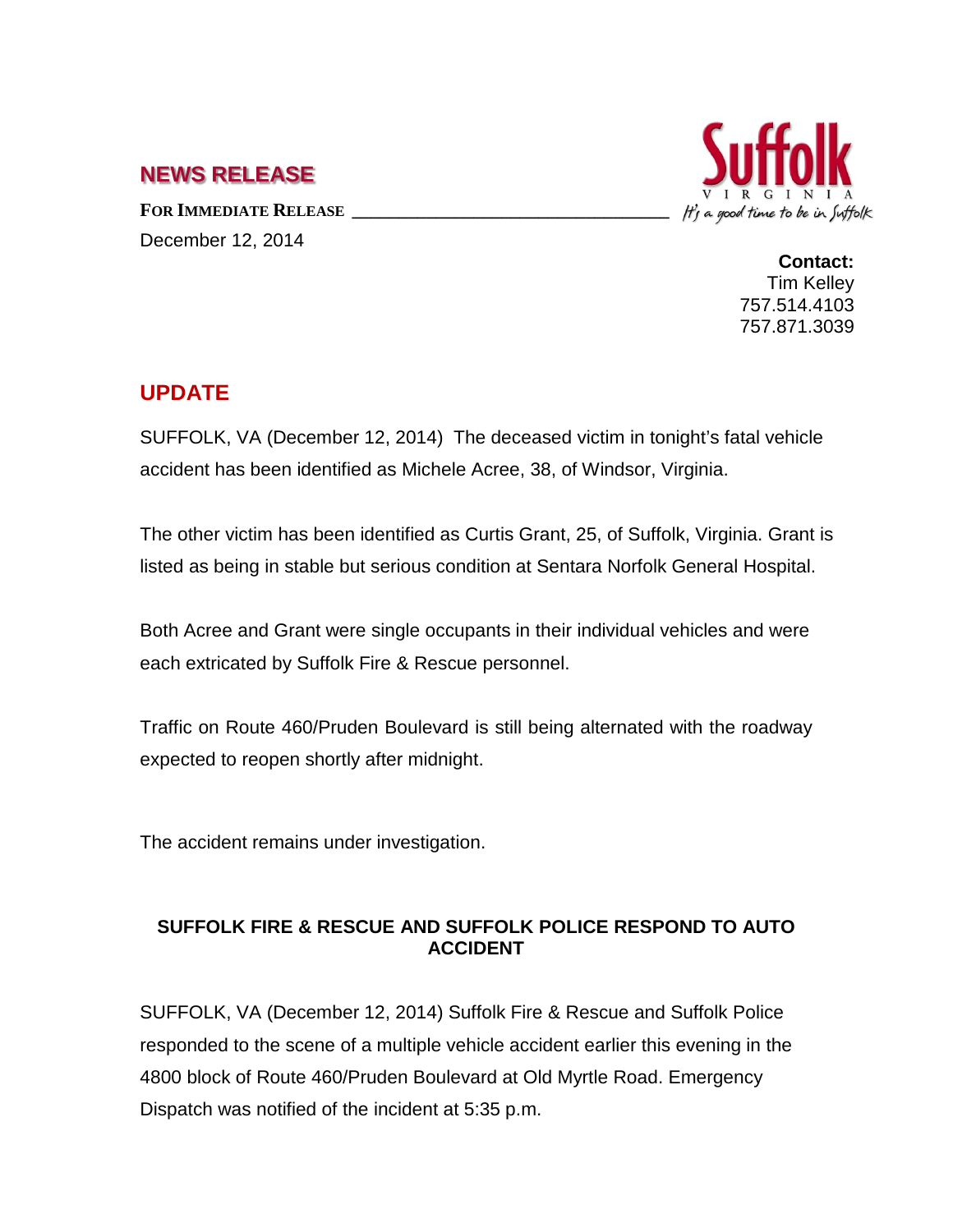## **NEWS RELEASE**

FOR **IMMEDIATE RELEASE** December 12, 2014



**Contact:** Tim Kelley 757.514.4103 757.871.3039

## **UPDATE**

SUFFOLK, VA (December 12, 2014) The deceased victim in tonight's fatal vehicle accident has been identified as Michele Acree, 38, of Windsor, Virginia.

The other victim has been identified as Curtis Grant, 25, of Suffolk, Virginia. Grant is listed as being in stable but serious condition at Sentara Norfolk General Hospital.

Both Acree and Grant were single occupants in their individual vehicles and were each extricated by Suffolk Fire & Rescue personnel.

Traffic on Route 460/Pruden Boulevard is still being alternated with the roadway expected to reopen shortly after midnight.

The accident remains under investigation.

## **SUFFOLK FIRE & RESCUE AND SUFFOLK POLICE RESPOND TO AUTO ACCIDENT**

SUFFOLK, VA (December 12, 2014) Suffolk Fire & Rescue and Suffolk Police responded to the scene of a multiple vehicle accident earlier this evening in the 4800 block of Route 460/Pruden Boulevard at Old Myrtle Road. Emergency Dispatch was notified of the incident at 5:35 p.m.